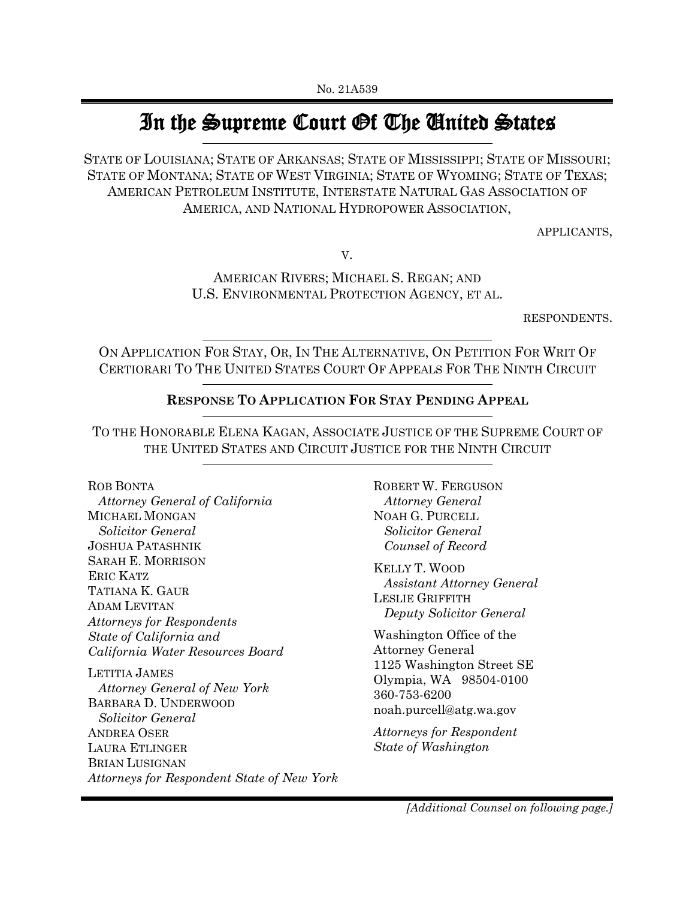# In the Supreme Court Of The United States

STATE OF LOUISIANA; STATE OF ARKANSAS; STATE OF MISSISSIPPI; STATE OF MISSOURI; STATE OF MONTANA; STATE OF WEST VIRGINIA; STATE OF WYOMING; STATE OF TEXAS; AMERICAN PETROLEUM INSTITUTE, INTERSTATE NATURAL GAS ASSOCIATION OF AMERICA, AND NATIONAL HYDROPOWER ASSOCIATION,

APPLICANTS,

V.

AMERICAN RIVERS; MICHAEL S. REGAN; AND U.S. ENVIRONMENTAL PROTECTION AGENCY, ET AL.

RESPONDENTS.

ON APPLICATION FOR STAY, OR, IN THE ALTERNATIVE, ON PETITION FOR WRIT OF CERTIORARI TO THE UNITED STATES COURT OF APPEALS FOR THE NINTH CIRCUIT

### **RESPONSE TO APPLICATION FOR STAY PENDING APPEAL**

TO THE HONORABLE ELENA KAGAN, ASSOCIATE JUSTICE OF THE SUPREME COURT OF THE UNITED STATES AND CIRCUIT JUSTICE FOR THE NINTH CIRCUIT

ROB BONTA

 *Attorney General of California* MICHAEL MONGAN *Solicitor General* JOSHUA PATASHNIK SARAH E. MORRISON ERIC KATZ TATIANA K. GAUR ADAM LEVITAN *Attorneys for Respondents State of California and California Water Resources Board*

LETITIA JAMES *Attorney General of New York*  BARBARA D. UNDERWOOD *Solicitor General* ANDREA OSER LAURA ETLINGER BRIAN LUSIGNAN *Attorneys for Respondent State of New York* ROBERT W. FERGUSON  *Attorney General* NOAH G. PURCELL  *Solicitor General Counsel of Record*

KELLY T. WOOD  *Assistant Attorney General* LESLIE GRIFFITH  *Deputy Solicitor General*

Washington Office of the Attorney General 1125 Washington Street SE Olympia, WA 98504-0100 360-753-6200 noah.purcell@atg.wa.gov

*Attorneys for Respondent State of Washington*

*[Additional Counsel on following page.]*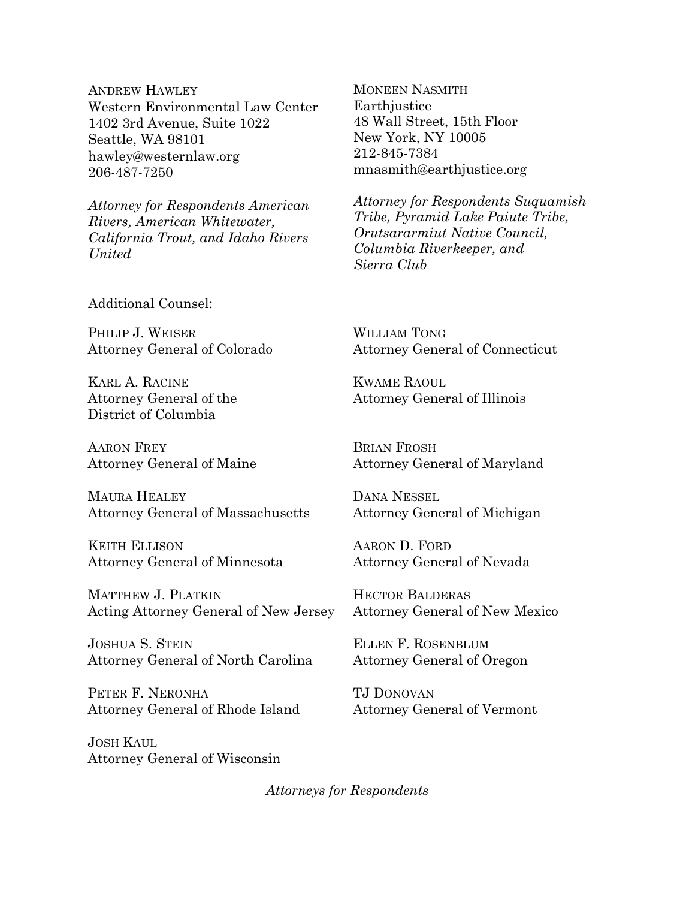ANDREW HAWLEY Western Environmental Law Center 1402 3rd Avenue, Suite 1022 Seattle, WA 98101 hawley@westernlaw.org 206-487-7250

*Attorney for Respondents American Rivers, American Whitewater, California Trout, and Idaho Rivers United*

Additional Counsel:

PHILIP J. WEISER Attorney General of Colorado

KARL A. RACINE Attorney General of the District of Columbia

AARON FREY Attorney General of Maine

MAURA HEALEY Attorney General of Massachusetts

KEITH ELLISON Attorney General of Minnesota

MATTHEW J. PLATKIN Acting Attorney General of New Jersey

JOSHUA S. STEIN Attorney General of North Carolina

PETER F. NERONHA Attorney General of Rhode Island

JOSH KAUL Attorney General of Wisconsin MONEEN NASMITH Earthjustice 48 Wall Street, 15th Floor New York, NY 10005 212-845-7384 mnasmith@earthjustice.org

*Attorney for Respondents Suquamish Tribe, Pyramid Lake Paiute Tribe, Orutsararmiut Native Council, Columbia Riverkeeper, and Sierra Club*

WILLIAM TONG Attorney General of Connecticut

KWAME RAOUL Attorney General of Illinois

BRIAN FROSH Attorney General of Maryland

DANA NESSEL Attorney General of Michigan

AARON D. FORD Attorney General of Nevada

HECTOR BALDERAS Attorney General of New Mexico

ELLEN F. ROSENBLUM Attorney General of Oregon

TJ DONOVAN Attorney General of Vermont

*Attorneys for Respondents*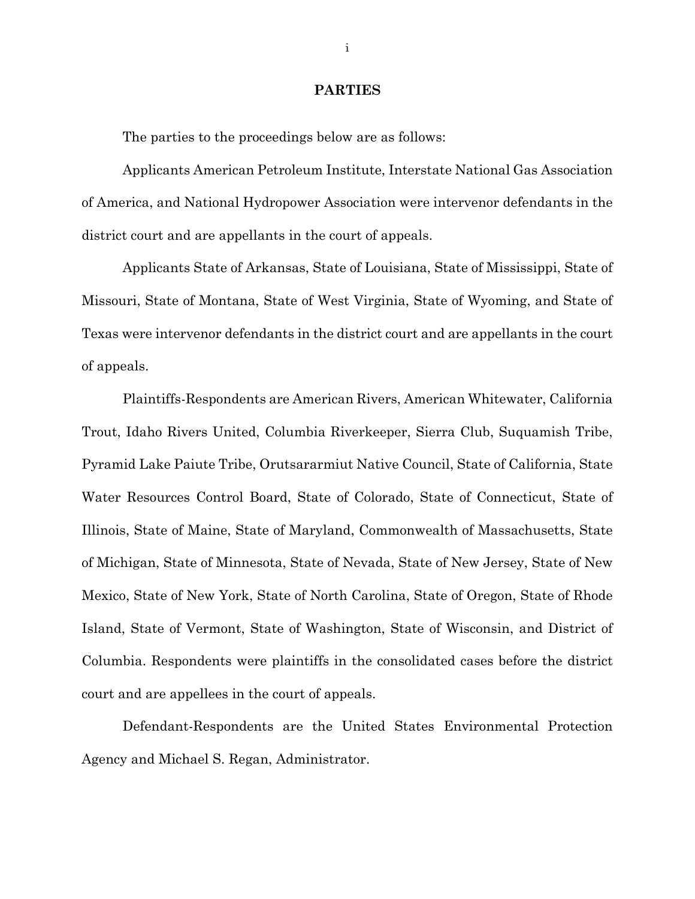#### **PARTIES**

The parties to the proceedings below are as follows:

Applicants American Petroleum Institute, Interstate National Gas Association of America, and National Hydropower Association were intervenor defendants in the district court and are appellants in the court of appeals.

Applicants State of Arkansas, State of Louisiana, State of Mississippi, State of Missouri, State of Montana, State of West Virginia, State of Wyoming, and State of Texas were intervenor defendants in the district court and are appellants in the court of appeals.

Plaintiffs-Respondents are American Rivers, American Whitewater, California Trout, Idaho Rivers United, Columbia Riverkeeper, Sierra Club, Suquamish Tribe, Pyramid Lake Paiute Tribe, Orutsararmiut Native Council, State of California, State Water Resources Control Board, State of Colorado, State of Connecticut, State of Illinois, State of Maine, State of Maryland, Commonwealth of Massachusetts, State of Michigan, State of Minnesota, State of Nevada, State of New Jersey, State of New Mexico, State of New York, State of North Carolina, State of Oregon, State of Rhode Island, State of Vermont, State of Washington, State of Wisconsin, and District of Columbia. Respondents were plaintiffs in the consolidated cases before the district court and are appellees in the court of appeals.

Defendant-Respondents are the United States Environmental Protection Agency and Michael S. Regan, Administrator.

i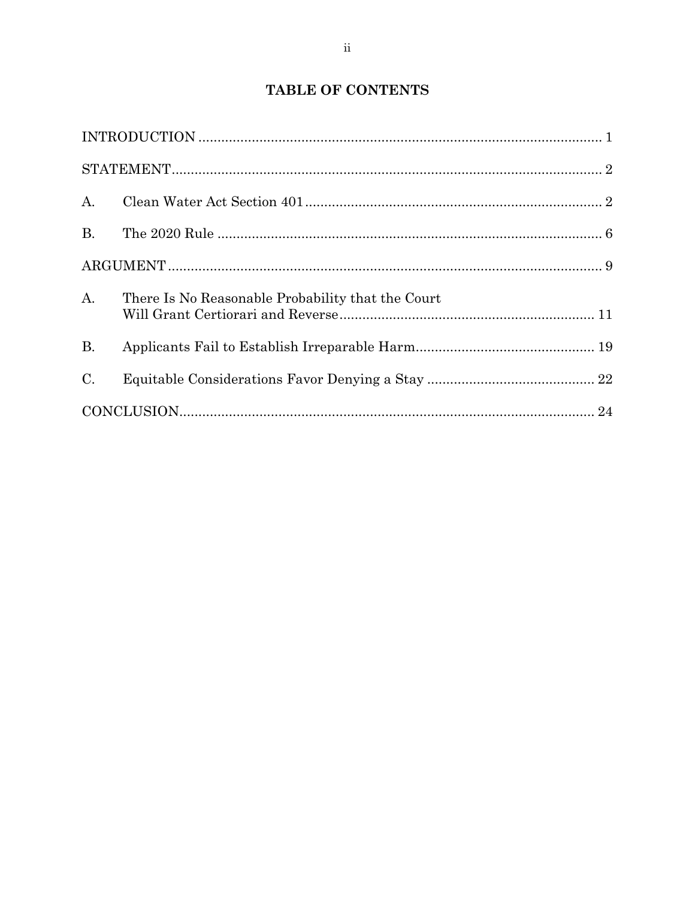# **TABLE OF CONTENTS**

| B <sub>r</sub> |                                                   |  |
|----------------|---------------------------------------------------|--|
|                |                                                   |  |
| A <sub>1</sub> | There Is No Reasonable Probability that the Court |  |
| B <sub>r</sub> |                                                   |  |
| C.             |                                                   |  |
|                |                                                   |  |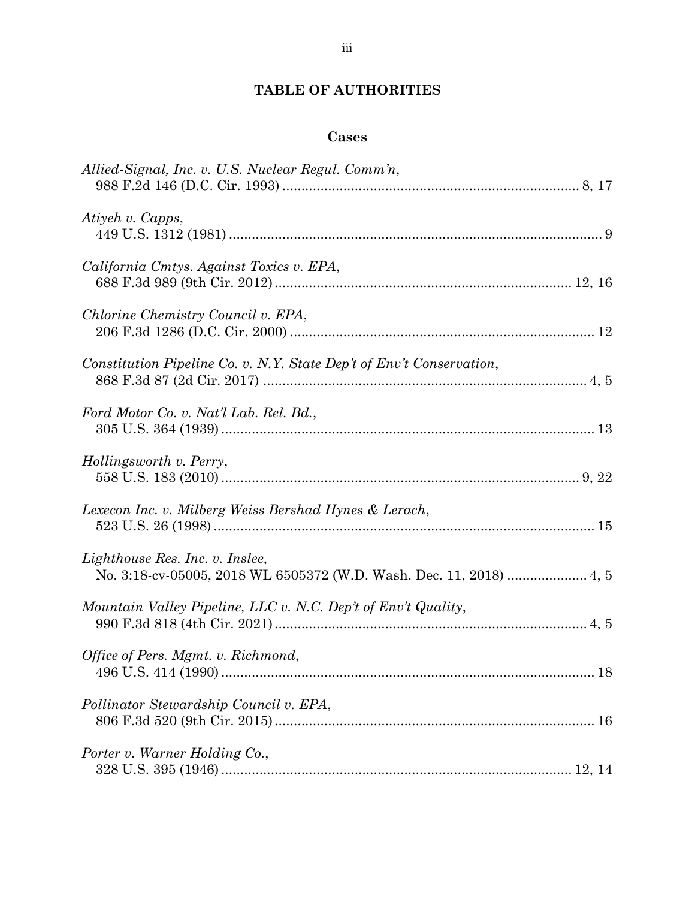# **TABLE OF AUTHORITIES**

# **Cases**

| Allied-Signal, Inc. v. U.S. Nuclear Regul. Comm'n,                   |
|----------------------------------------------------------------------|
| Atiyeh v. Capps,                                                     |
| California Cmtys. Against Toxics v. EPA,                             |
| Chlorine Chemistry Council v. EPA,                                   |
| Constitution Pipeline Co. v. N.Y. State Dep't of Env't Conservation, |
| Ford Motor Co. v. Nat'l Lab. Rel. Bd.,                               |
| Hollingsworth v. Perry,                                              |
| Lexecon Inc. v. Milberg Weiss Bershad Hynes & Lerach,                |
| Lighthouse Res. Inc. v. Inslee,                                      |
| Mountain Valley Pipeline, LLC v. N.C. Dep't of Env't Quality,        |
| Office of Pers. Mgmt. v. Richmond,                                   |
| Pollinator Stewardship Council v. EPA,                               |
| Porter v. Warner Holding Co.,                                        |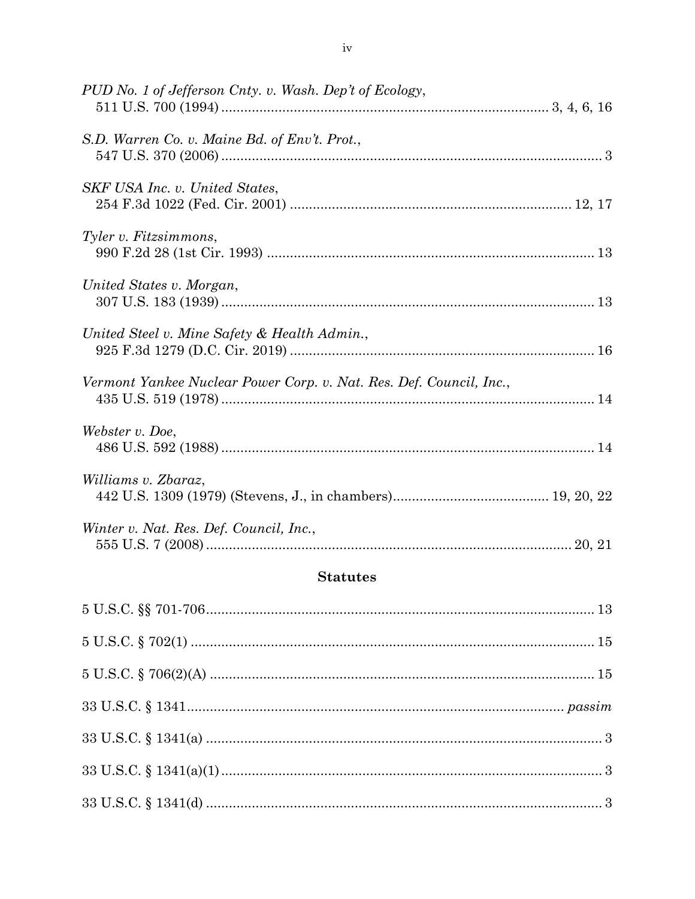# **Statutes**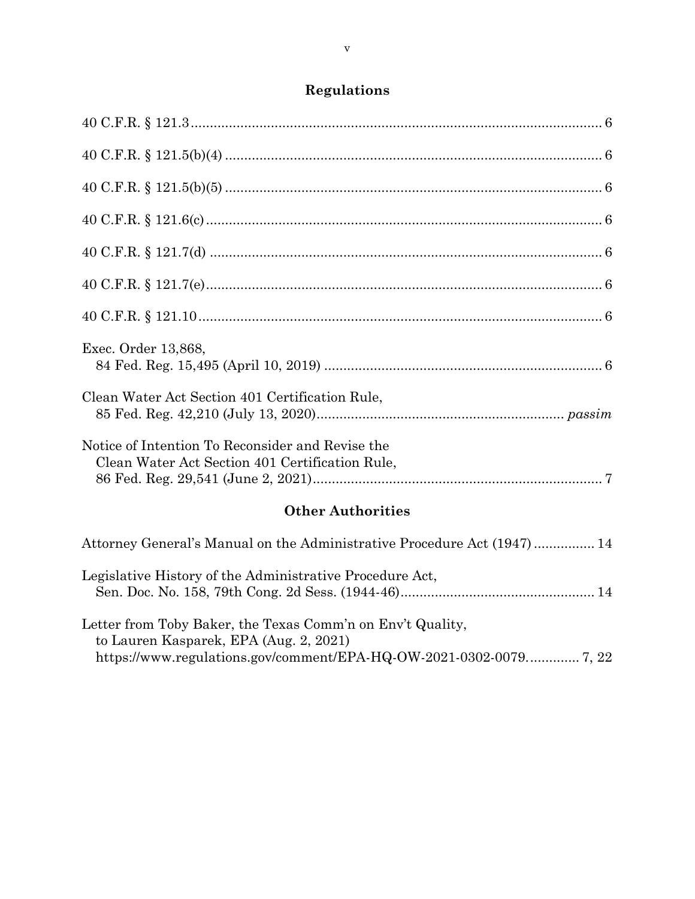# **Regulations**

| Exec. Order 13,868,                                                                                                                        |
|--------------------------------------------------------------------------------------------------------------------------------------------|
| Clean Water Act Section 401 Certification Rule,                                                                                            |
| Notice of Intention To Reconsider and Revise the<br>Clean Water Act Section 401 Certification Rule,                                        |
| <b>Other Authorities</b>                                                                                                                   |
| Attorney General's Manual on the Administrative Procedure Act (1947) 14                                                                    |
| Legislative History of the Administrative Procedure Act,                                                                                   |
| $\mathbf{T}$ is a contract of the contract of the contract of $\mathbf{C}$ is the contract of $\mathbf{C}$ in the contract of $\mathbf{C}$ |

| Letter from Toby Baker, the Texas Comm'n on Env't Quality, |  |
|------------------------------------------------------------|--|
| to Lauren Kasparek, EPA (Aug. 2, 2021)                     |  |
|                                                            |  |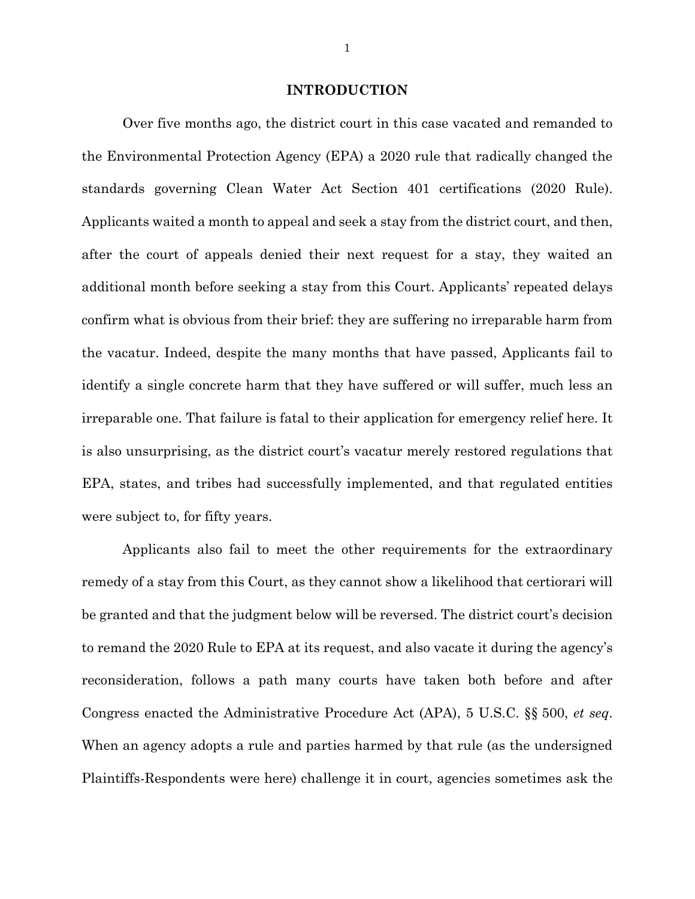#### **INTRODUCTION**

Over five months ago, the district court in this case vacated and remanded to the Environmental Protection Agency (EPA) a 2020 rule that radically changed the standards governing Clean Water Act Section 401 certifications (2020 Rule). Applicants waited a month to appeal and seek a stay from the district court, and then, after the court of appeals denied their next request for a stay, they waited an additional month before seeking a stay from this Court. Applicants' repeated delays confirm what is obvious from their brief: they are suffering no irreparable harm from the vacatur. Indeed, despite the many months that have passed, Applicants fail to identify a single concrete harm that they have suffered or will suffer, much less an irreparable one. That failure is fatal to their application for emergency relief here. It is also unsurprising, as the district court's vacatur merely restored regulations that EPA, states, and tribes had successfully implemented, and that regulated entities were subject to, for fifty years.

Applicants also fail to meet the other requirements for the extraordinary remedy of a stay from this Court, as they cannot show a likelihood that certiorari will be granted and that the judgment below will be reversed. The district court's decision to remand the 2020 Rule to EPA at its request, and also vacate it during the agency's reconsideration, follows a path many courts have taken both before and after Congress enacted the Administrative Procedure Act (APA), 5 U.S.C. §§ 500, *et seq*. When an agency adopts a rule and parties harmed by that rule (as the undersigned Plaintiffs-Respondents were here) challenge it in court, agencies sometimes ask the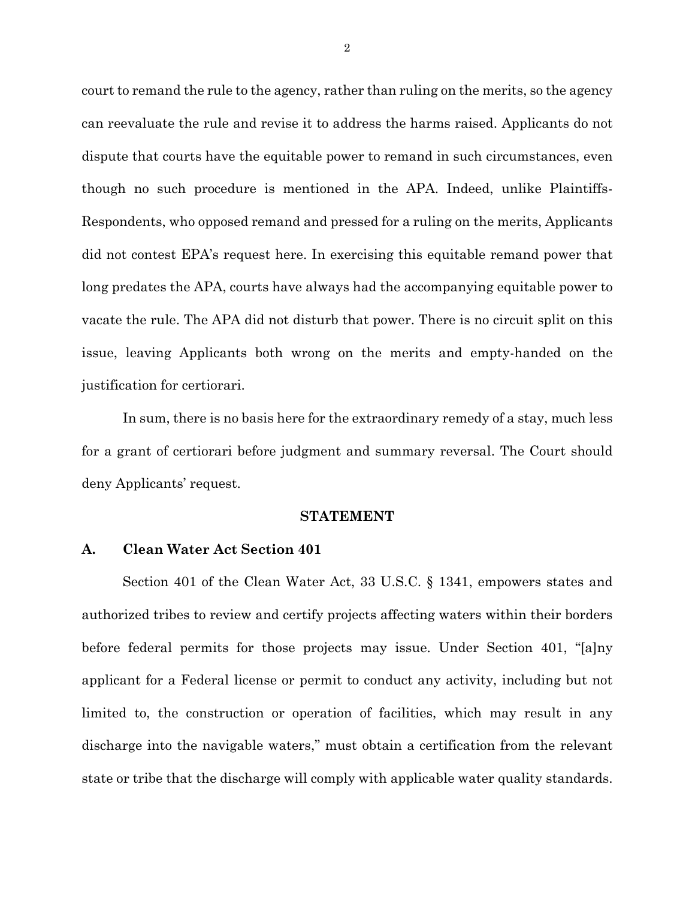court to remand the rule to the agency, rather than ruling on the merits, so the agency can reevaluate the rule and revise it to address the harms raised. Applicants do not dispute that courts have the equitable power to remand in such circumstances, even though no such procedure is mentioned in the APA. Indeed, unlike Plaintiffs-Respondents, who opposed remand and pressed for a ruling on the merits, Applicants did not contest EPA's request here. In exercising this equitable remand power that long predates the APA, courts have always had the accompanying equitable power to vacate the rule. The APA did not disturb that power. There is no circuit split on this issue, leaving Applicants both wrong on the merits and empty-handed on the justification for certiorari.

In sum, there is no basis here for the extraordinary remedy of a stay, much less for a grant of certiorari before judgment and summary reversal. The Court should deny Applicants' request.

#### **STATEMENT**

### **A. Clean Water Act Section 401**

Section 401 of the Clean Water Act, 33 U.S.C. § 1341, empowers states and authorized tribes to review and certify projects affecting waters within their borders before federal permits for those projects may issue. Under Section 401, "[a]ny applicant for a Federal license or permit to conduct any activity, including but not limited to, the construction or operation of facilities, which may result in any discharge into the navigable waters," must obtain a certification from the relevant state or tribe that the discharge will comply with applicable water quality standards.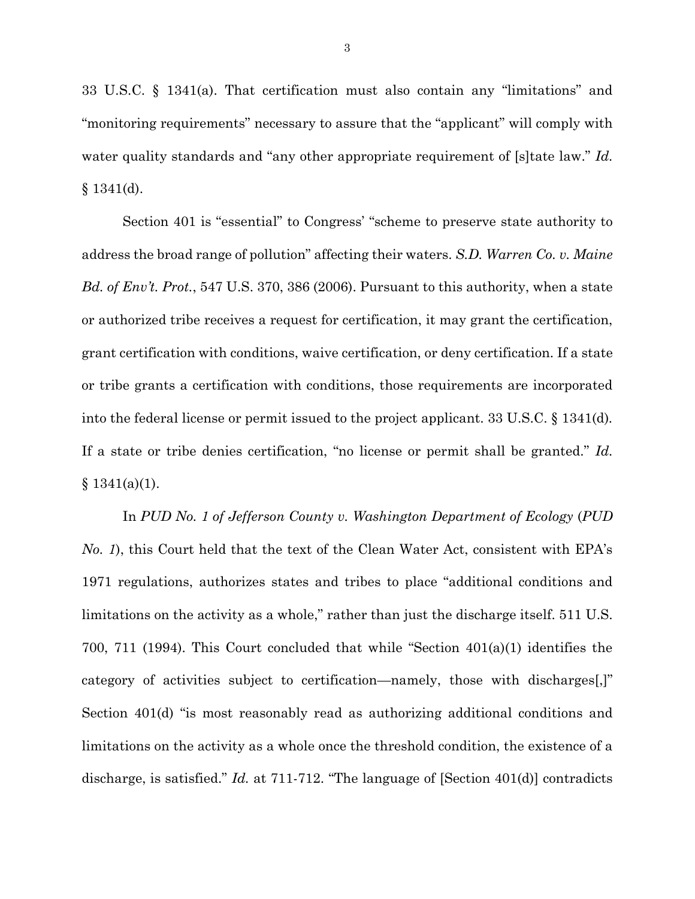33 U.S.C. § 1341(a). That certification must also contain any "limitations" and "monitoring requirements" necessary to assure that the "applicant" will comply with water quality standards and "any other appropriate requirement of [s]tate law." *Id.*  $§ 1341(d).$ 

Section 401 is "essential" to Congress' "scheme to preserve state authority to address the broad range of pollution" affecting their waters. *S.D. Warren Co. v. Maine Bd. of Env't. Prot.*, 547 U.S. 370, 386 (2006). Pursuant to this authority, when a state or authorized tribe receives a request for certification, it may grant the certification, grant certification with conditions, waive certification, or deny certification. If a state or tribe grants a certification with conditions, those requirements are incorporated into the federal license or permit issued to the project applicant. 33 U.S.C. § 1341(d)*.* If a state or tribe denies certification, "no license or permit shall be granted." *Id.*  $§ 1341(a)(1).$ 

In *PUD No. 1 of Jefferson County v. Washington Department of Ecology* (*PUD No. 1*), this Court held that the text of the Clean Water Act, consistent with EPA's 1971 regulations, authorizes states and tribes to place "additional conditions and limitations on the activity as a whole," rather than just the discharge itself. 511 U.S. 700, 711 (1994). This Court concluded that while "Section 401(a)(1) identifies the category of activities subject to certification—namely, those with discharges[,]" Section 401(d) "is most reasonably read as authorizing additional conditions and limitations on the activity as a whole once the threshold condition, the existence of a discharge, is satisfied." *Id.* at 711-712. "The language of [Section 401(d)] contradicts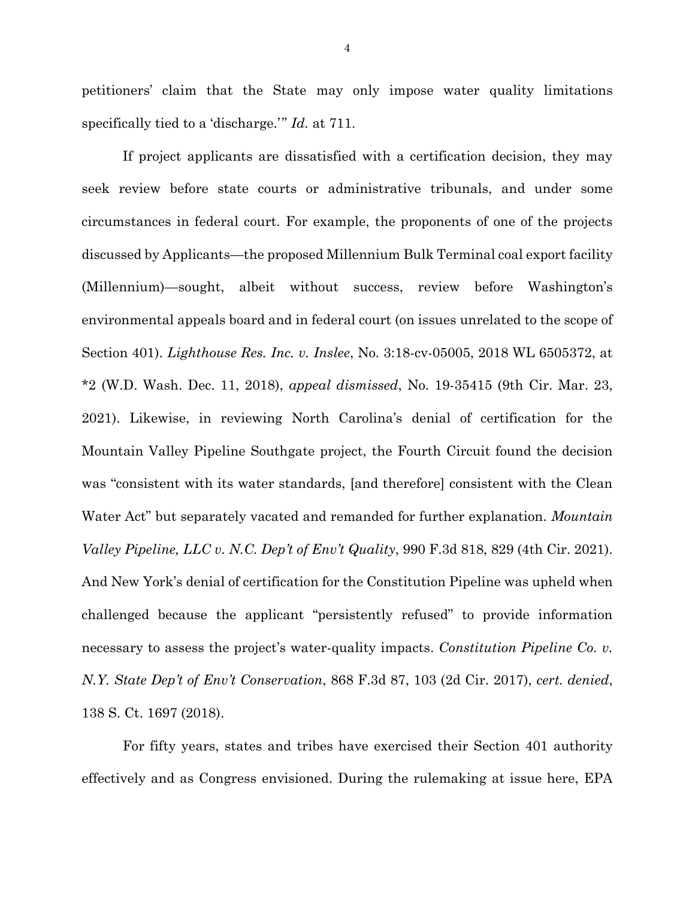petitioners' claim that the State may only impose water quality limitations specifically tied to a 'discharge.'" *Id.* at 711.

If project applicants are dissatisfied with a certification decision, they may seek review before state courts or administrative tribunals, and under some circumstances in federal court. For example, the proponents of one of the projects discussed by Applicants—the proposed Millennium Bulk Terminal coal export facility (Millennium)—sought, albeit without success, review before Washington's environmental appeals board and in federal court (on issues unrelated to the scope of Section 401). *Lighthouse Res. Inc. v. Inslee*, No. 3:18-cv-05005, 2018 WL 6505372, at \*2 (W.D. Wash. Dec. 11, 2018), *appeal dismissed*, No. 19-35415 (9th Cir. Mar. 23, 2021). Likewise, in reviewing North Carolina's denial of certification for the Mountain Valley Pipeline Southgate project, the Fourth Circuit found the decision was "consistent with its water standards, [and therefore] consistent with the Clean Water Act" but separately vacated and remanded for further explanation. *Mountain Valley Pipeline, LLC v. N.C. Dep't of Env't Quality*, 990 F.3d 818, 829 (4th Cir. 2021). And New York's denial of certification for the Constitution Pipeline was upheld when challenged because the applicant "persistently refused" to provide information necessary to assess the project's water-quality impacts. *Constitution Pipeline Co. v. N.Y. State Dep't of Env't Conservation*, 868 F.3d 87, 103 (2d Cir. 2017), *cert. denied*, 138 S. Ct. 1697 (2018).

For fifty years, states and tribes have exercised their Section 401 authority effectively and as Congress envisioned. During the rulemaking at issue here, EPA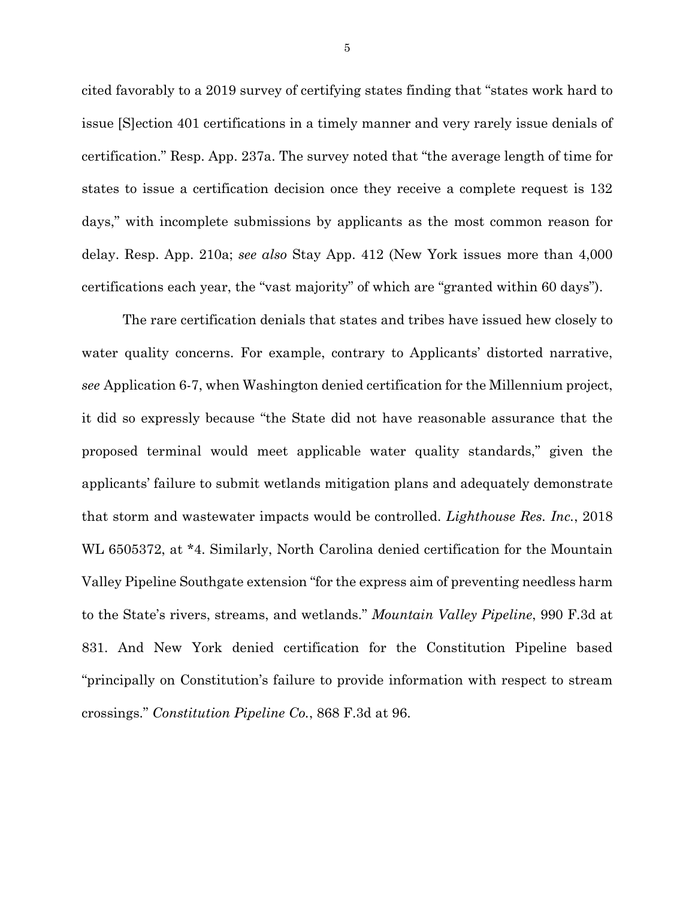cited favorably to a 2019 survey of certifying states finding that "states work hard to issue [S]ection 401 certifications in a timely manner and very rarely issue denials of certification." Resp. App. 237a. The survey noted that "the average length of time for states to issue a certification decision once they receive a complete request is 132 days," with incomplete submissions by applicants as the most common reason for delay. Resp. App. 210a; *see also* Stay App. 412 (New York issues more than 4,000 certifications each year, the "vast majority" of which are "granted within 60 days").

The rare certification denials that states and tribes have issued hew closely to water quality concerns. For example, contrary to Applicants' distorted narrative, *see* Application 6-7, when Washington denied certification for the Millennium project, it did so expressly because "the State did not have reasonable assurance that the proposed terminal would meet applicable water quality standards," given the applicants' failure to submit wetlands mitigation plans and adequately demonstrate that storm and wastewater impacts would be controlled. *Lighthouse Res. Inc.*, 2018 WL 6505372, at \*4. Similarly, North Carolina denied certification for the Mountain Valley Pipeline Southgate extension "for the express aim of preventing needless harm to the State's rivers, streams, and wetlands." *Mountain Valley Pipeline*, 990 F.3d at 831. And New York denied certification for the Constitution Pipeline based "principally on Constitution's failure to provide information with respect to stream crossings." *Constitution Pipeline Co.*, 868 F.3d at 96.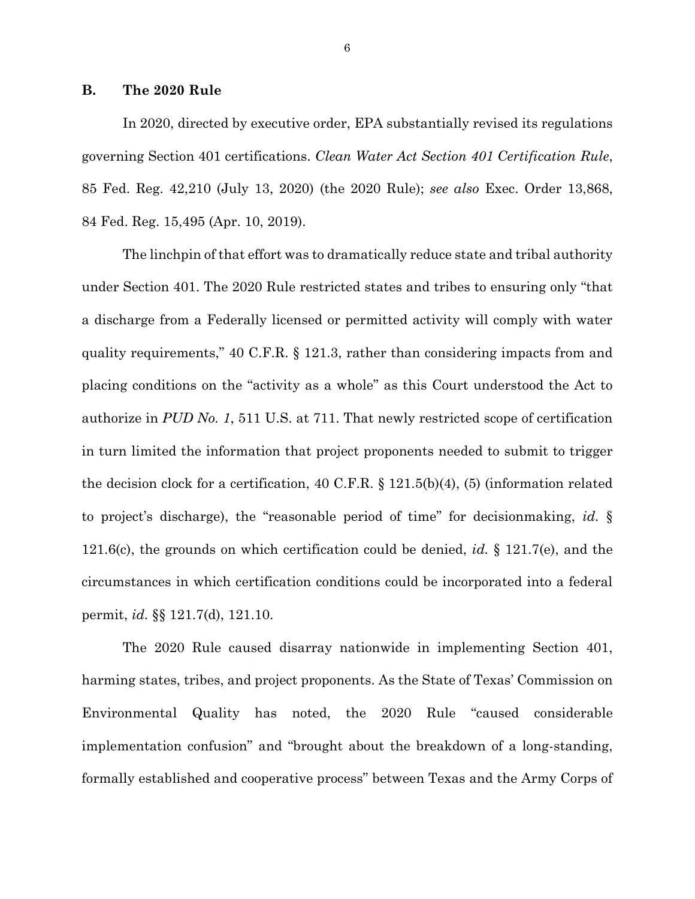#### **B. The 2020 Rule**

In 2020, directed by executive order, EPA substantially revised its regulations governing Section 401 certifications. *Clean Water Act Section 401 Certification Rule*, 85 Fed. Reg. 42,210 (July 13, 2020) (the 2020 Rule); *see also* Exec. Order 13,868, 84 Fed. Reg. 15,495 (Apr. 10, 2019).

The linchpin of that effort was to dramatically reduce state and tribal authority under Section 401. The 2020 Rule restricted states and tribes to ensuring only "that a discharge from a Federally licensed or permitted activity will comply with water quality requirements," 40 C.F.R. § 121.3, rather than considering impacts from and placing conditions on the "activity as a whole" as this Court understood the Act to authorize in *PUD No. 1*, 511 U.S. at 711. That newly restricted scope of certification in turn limited the information that project proponents needed to submit to trigger the decision clock for a certification, 40 C.F.R. § 121.5(b)(4), (5) (information related to project's discharge), the "reasonable period of time" for decisionmaking, *id.* § 121.6(c), the grounds on which certification could be denied, *id.* § 121.7(e), and the circumstances in which certification conditions could be incorporated into a federal permit, *id.* §§ 121.7(d), 121.10.

The 2020 Rule caused disarray nationwide in implementing Section 401, harming states, tribes, and project proponents. As the State of Texas' Commission on Environmental Quality has noted, the 2020 Rule "caused considerable implementation confusion" and "brought about the breakdown of a long-standing, formally established and cooperative process" between Texas and the Army Corps of

6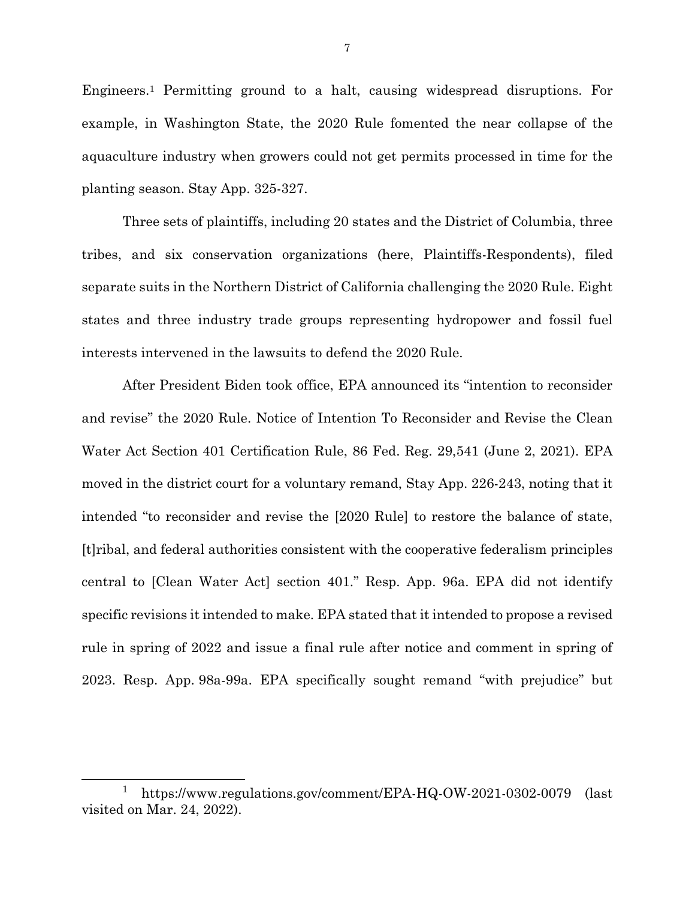Engineers.<sup>1</sup> Permitting ground to a halt, causing widespread disruptions. For example, in Washington State, the 2020 Rule fomented the near collapse of the aquaculture industry when growers could not get permits processed in time for the planting season. Stay App. 325-327.

Three sets of plaintiffs, including 20 states and the District of Columbia, three tribes, and six conservation organizations (here, Plaintiffs-Respondents), filed separate suits in the Northern District of California challenging the 2020 Rule. Eight states and three industry trade groups representing hydropower and fossil fuel interests intervened in the lawsuits to defend the 2020 Rule.

After President Biden took office, EPA announced its "intention to reconsider and revise" the 2020 Rule. Notice of Intention To Reconsider and Revise the Clean Water Act Section 401 Certification Rule, 86 Fed. Reg. 29,541 (June 2, 2021). EPA moved in the district court for a voluntary remand, Stay App. 226-243, noting that it intended "to reconsider and revise the [2020 Rule] to restore the balance of state, [t]ribal, and federal authorities consistent with the cooperative federalism principles central to [Clean Water Act] section 401." Resp. App. 96a. EPA did not identify specific revisions it intended to make. EPA stated that it intended to propose a revised rule in spring of 2022 and issue a final rule after notice and comment in spring of 2023. Resp. App. 98a-99a. EPA specifically sought remand "with prejudice" but

l

<sup>1</sup> https://www.regulations.gov/comment/EPA-HQ-OW-2021-0302-0079 (last visited on Mar. 24, 2022).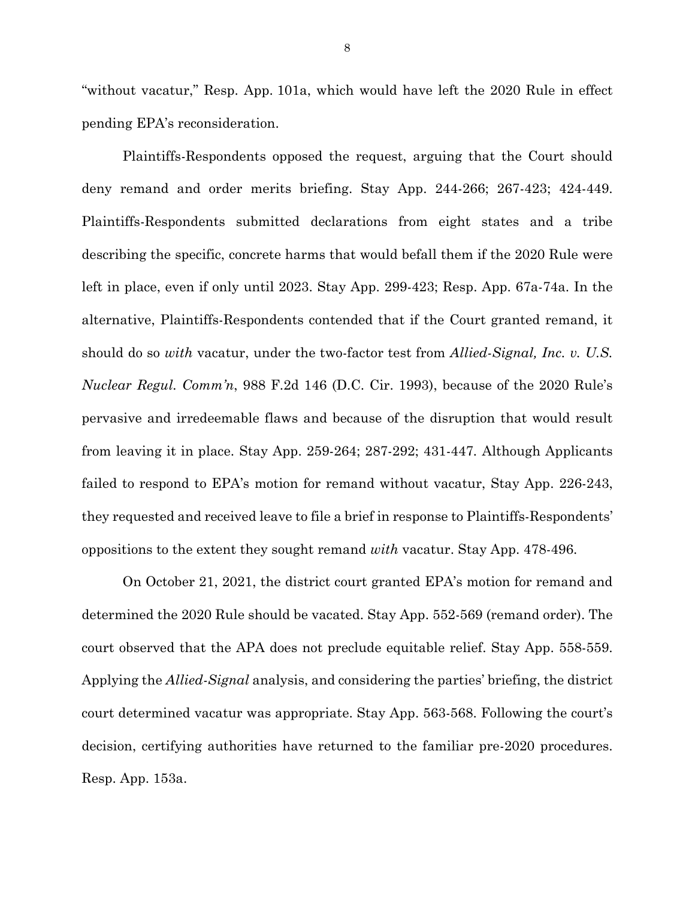"without vacatur," Resp. App. 101a, which would have left the 2020 Rule in effect pending EPA's reconsideration.

Plaintiffs-Respondents opposed the request, arguing that the Court should deny remand and order merits briefing. Stay App. 244-266; 267-423; 424-449. Plaintiffs-Respondents submitted declarations from eight states and a tribe describing the specific, concrete harms that would befall them if the 2020 Rule were left in place, even if only until 2023. Stay App. 299-423; Resp. App. 67a-74a. In the alternative, Plaintiffs-Respondents contended that if the Court granted remand, it should do so *with* vacatur, under the two-factor test from *Allied-Signal, Inc. v. U.S. Nuclear Regul. Comm'n*, 988 F.2d 146 (D.C. Cir. 1993), because of the 2020 Rule's pervasive and irredeemable flaws and because of the disruption that would result from leaving it in place. Stay App. 259-264; 287-292; 431-447*.* Although Applicants failed to respond to EPA's motion for remand without vacatur, Stay App. 226-243, they requested and received leave to file a brief in response to Plaintiffs-Respondents' oppositions to the extent they sought remand *with* vacatur. Stay App. 478-496.

On October 21, 2021, the district court granted EPA's motion for remand and determined the 2020 Rule should be vacated. Stay App. 552-569 (remand order). The court observed that the APA does not preclude equitable relief. Stay App. 558-559. Applying the *Allied-Signal* analysis, and considering the parties' briefing, the district court determined vacatur was appropriate. Stay App. 563-568. Following the court's decision, certifying authorities have returned to the familiar pre-2020 procedures. Resp. App. 153a.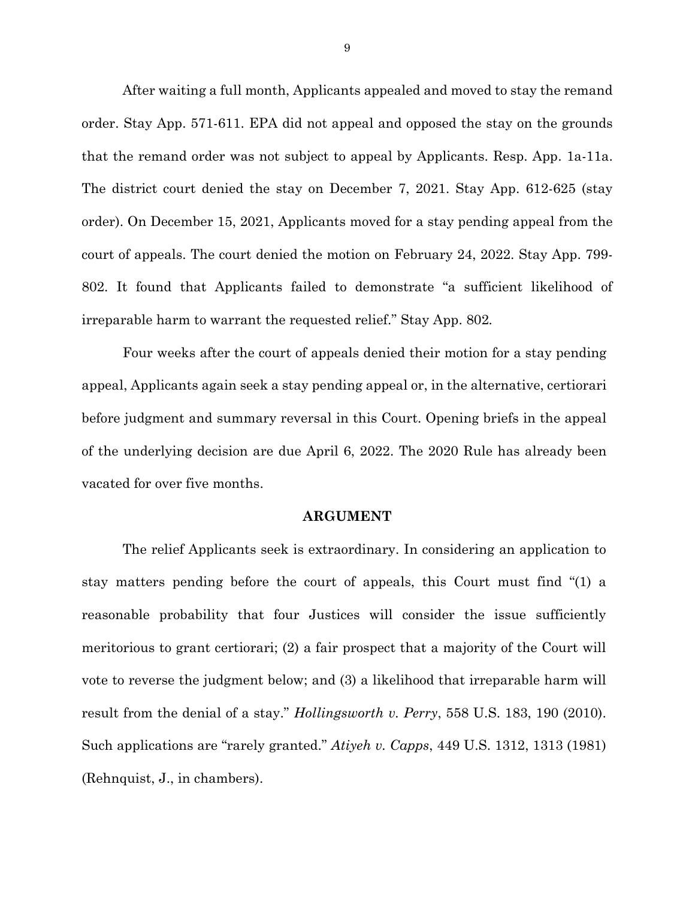After waiting a full month, Applicants appealed and moved to stay the remand order. Stay App. 571-611. EPA did not appeal and opposed the stay on the grounds that the remand order was not subject to appeal by Applicants. Resp. App. 1a-11a. The district court denied the stay on December 7, 2021. Stay App. 612-625 (stay order). On December 15, 2021, Applicants moved for a stay pending appeal from the court of appeals. The court denied the motion on February 24, 2022. Stay App. 799- 802. It found that Applicants failed to demonstrate "a sufficient likelihood of irreparable harm to warrant the requested relief." Stay App. 802*.*

Four weeks after the court of appeals denied their motion for a stay pending appeal, Applicants again seek a stay pending appeal or, in the alternative, certiorari before judgment and summary reversal in this Court. Opening briefs in the appeal of the underlying decision are due April 6, 2022. The 2020 Rule has already been vacated for over five months.

#### **ARGUMENT**

The relief Applicants seek is extraordinary. In considering an application to stay matters pending before the court of appeals, this Court must find "(1) a reasonable probability that four Justices will consider the issue sufficiently meritorious to grant certiorari; (2) a fair prospect that a majority of the Court will vote to reverse the judgment below; and (3) a likelihood that irreparable harm will result from the denial of a stay." *Hollingsworth v. Perry*, 558 U.S. 183, 190 (2010). Such applications are "rarely granted." *Atiyeh v. Capps*, 449 U.S. 1312, 1313 (1981) (Rehnquist, J., in chambers).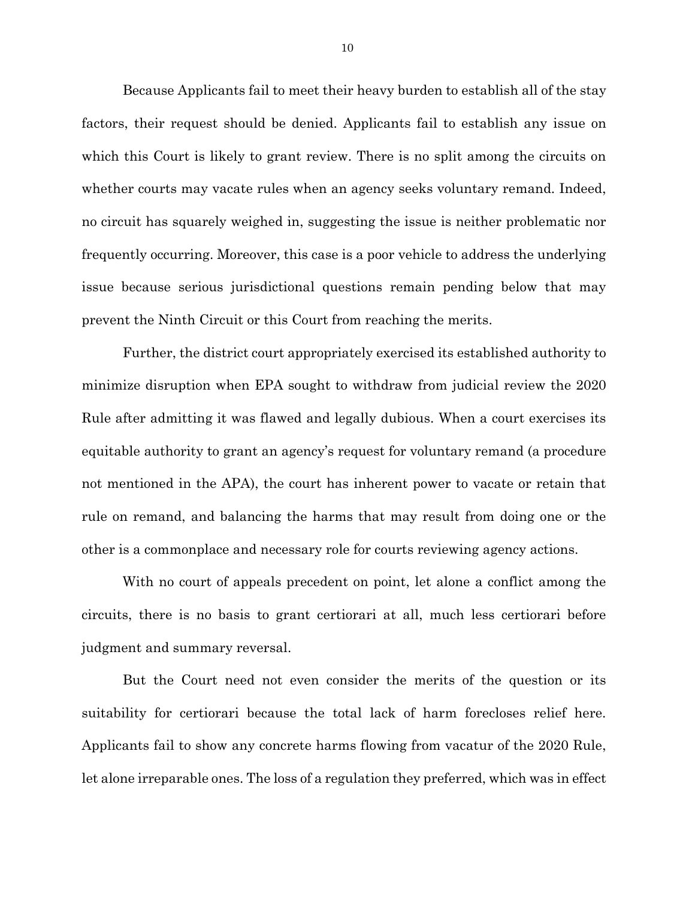Because Applicants fail to meet their heavy burden to establish all of the stay factors, their request should be denied. Applicants fail to establish any issue on which this Court is likely to grant review. There is no split among the circuits on whether courts may vacate rules when an agency seeks voluntary remand. Indeed, no circuit has squarely weighed in, suggesting the issue is neither problematic nor frequently occurring. Moreover, this case is a poor vehicle to address the underlying issue because serious jurisdictional questions remain pending below that may prevent the Ninth Circuit or this Court from reaching the merits.

Further, the district court appropriately exercised its established authority to minimize disruption when EPA sought to withdraw from judicial review the 2020 Rule after admitting it was flawed and legally dubious. When a court exercises its equitable authority to grant an agency's request for voluntary remand (a procedure not mentioned in the APA), the court has inherent power to vacate or retain that rule on remand, and balancing the harms that may result from doing one or the other is a commonplace and necessary role for courts reviewing agency actions.

With no court of appeals precedent on point, let alone a conflict among the circuits, there is no basis to grant certiorari at all, much less certiorari before judgment and summary reversal.

But the Court need not even consider the merits of the question or its suitability for certiorari because the total lack of harm forecloses relief here. Applicants fail to show any concrete harms flowing from vacatur of the 2020 Rule, let alone irreparable ones. The loss of a regulation they preferred, which was in effect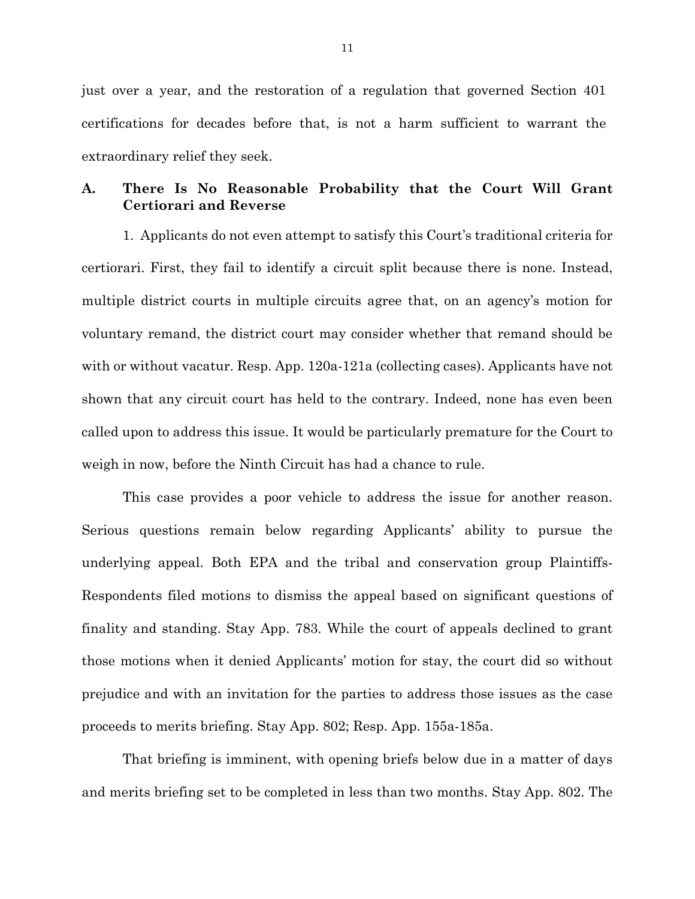just over a year, and the restoration of a regulation that governed Section 401 certifications for decades before that, is not a harm sufficient to warrant the extraordinary relief they seek.

# **A. There Is No Reasonable Probability that the Court Will Grant Certiorari and Reverse**

1. Applicants do not even attempt to satisfy this Court's traditional criteria for certiorari. First, they fail to identify a circuit split because there is none. Instead, multiple district courts in multiple circuits agree that, on an agency's motion for voluntary remand, the district court may consider whether that remand should be with or without vacatur. Resp. App. 120a-121a (collecting cases). Applicants have not shown that any circuit court has held to the contrary. Indeed, none has even been called upon to address this issue. It would be particularly premature for the Court to weigh in now, before the Ninth Circuit has had a chance to rule.

This case provides a poor vehicle to address the issue for another reason. Serious questions remain below regarding Applicants' ability to pursue the underlying appeal. Both EPA and the tribal and conservation group Plaintiffs-Respondents filed motions to dismiss the appeal based on significant questions of finality and standing. Stay App. 783. While the court of appeals declined to grant those motions when it denied Applicants' motion for stay, the court did so without prejudice and with an invitation for the parties to address those issues as the case proceeds to merits briefing. Stay App. 802; Resp. App. 155a-185a.

That briefing is imminent, with opening briefs below due in a matter of days and merits briefing set to be completed in less than two months. Stay App. 802. The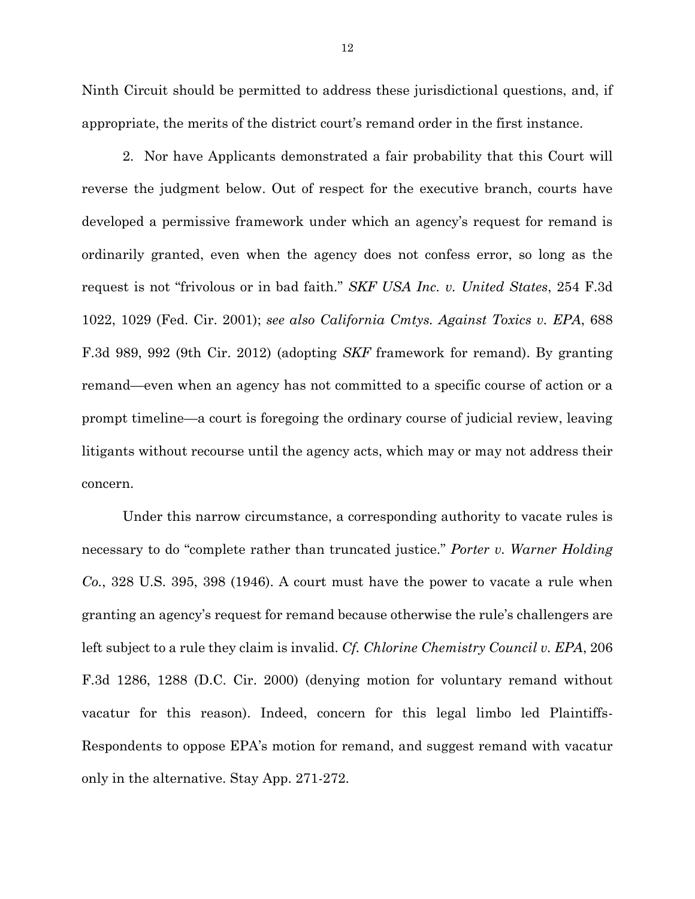Ninth Circuit should be permitted to address these jurisdictional questions, and, if appropriate, the merits of the district court's remand order in the first instance.

2. Nor have Applicants demonstrated a fair probability that this Court will reverse the judgment below. Out of respect for the executive branch, courts have developed a permissive framework under which an agency's request for remand is ordinarily granted, even when the agency does not confess error, so long as the request is not "frivolous or in bad faith." *SKF USA Inc. v. United States*, 254 F.3d 1022, 1029 (Fed. Cir. 2001); *see also California Cmtys. Against Toxics v. EPA*, 688 F.3d 989, 992 (9th Cir. 2012) (adopting *SKF* framework for remand). By granting remand—even when an agency has not committed to a specific course of action or a prompt timeline—a court is foregoing the ordinary course of judicial review, leaving litigants without recourse until the agency acts, which may or may not address their concern.

Under this narrow circumstance, a corresponding authority to vacate rules is necessary to do "complete rather than truncated justice." *Porter v. Warner Holding Co.*, 328 U.S. 395, 398 (1946). A court must have the power to vacate a rule when granting an agency's request for remand because otherwise the rule's challengers are left subject to a rule they claim is invalid. *Cf. Chlorine Chemistry Council v. EPA*, 206 F.3d 1286, 1288 (D.C. Cir. 2000) (denying motion for voluntary remand without vacatur for this reason). Indeed, concern for this legal limbo led Plaintiffs-Respondents to oppose EPA's motion for remand, and suggest remand with vacatur only in the alternative. Stay App. 271-272.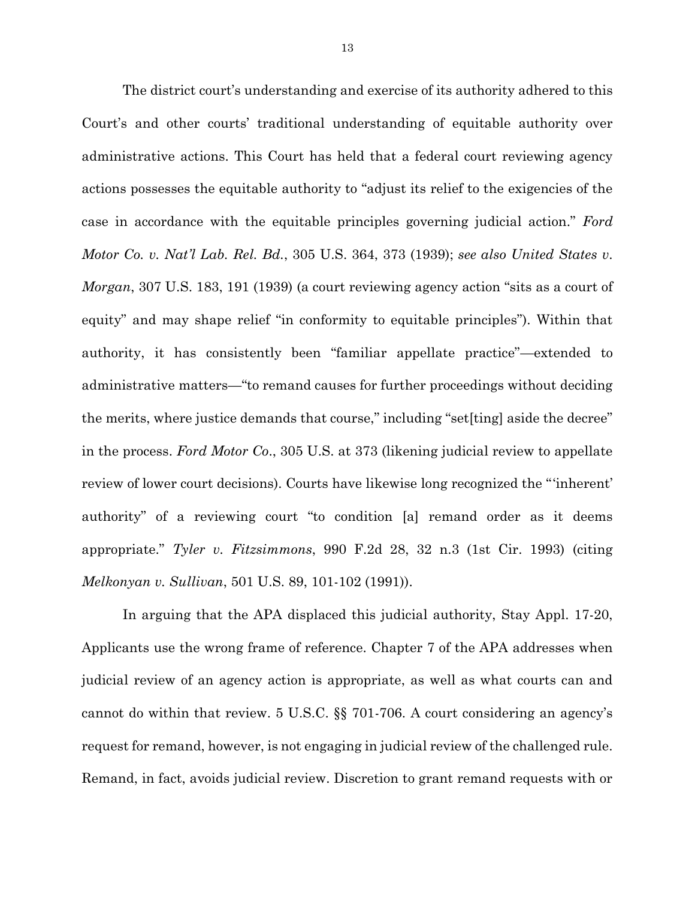The district court's understanding and exercise of its authority adhered to this Court's and other courts' traditional understanding of equitable authority over administrative actions. This Court has held that a federal court reviewing agency actions possesses the equitable authority to "adjust its relief to the exigencies of the case in accordance with the equitable principles governing judicial action." *Ford Motor Co. v. Nat'l Lab. Rel. Bd.*, 305 U.S. 364, 373 (1939); *see also United States v*. *Morgan*, 307 U.S. 183, 191 (1939) (a court reviewing agency action "sits as a court of equity" and may shape relief "in conformity to equitable principles"). Within that authority, it has consistently been "familiar appellate practice"—extended to administrative matters—"to remand causes for further proceedings without deciding the merits, where justice demands that course," including "set[ting] aside the decree" in the process. *Ford Motor Co*., 305 U.S. at 373 (likening judicial review to appellate review of lower court decisions). Courts have likewise long recognized the "'inherent' authority" of a reviewing court "to condition [a] remand order as it deems appropriate." *Tyler v. Fitzsimmons*, 990 F.2d 28, 32 n.3 (1st Cir. 1993) (citing *Melkonyan v. Sullivan*, 501 U.S. 89, 101-102 (1991)).

In arguing that the APA displaced this judicial authority, Stay Appl. 17-20, Applicants use the wrong frame of reference. Chapter 7 of the APA addresses when judicial review of an agency action is appropriate, as well as what courts can and cannot do within that review. 5 U.S.C. §§ 701-706. A court considering an agency's request for remand, however, is not engaging in judicial review of the challenged rule. Remand, in fact, avoids judicial review. Discretion to grant remand requests with or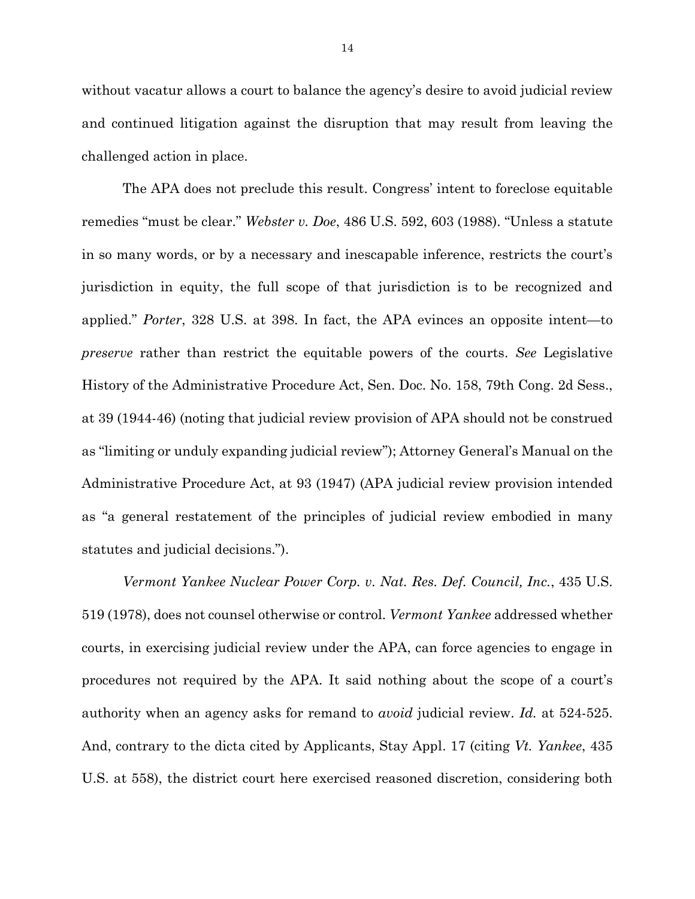without vacatur allows a court to balance the agency's desire to avoid judicial review and continued litigation against the disruption that may result from leaving the challenged action in place.

The APA does not preclude this result. Congress' intent to foreclose equitable remedies "must be clear." *Webster v. Doe*, 486 U.S. 592, 603 (1988). "Unless a statute in so many words, or by a necessary and inescapable inference, restricts the court's jurisdiction in equity, the full scope of that jurisdiction is to be recognized and applied." *Porter*, 328 U.S. at 398. In fact, the APA evinces an opposite intent—to *preserve* rather than restrict the equitable powers of the courts. *See* Legislative History of the Administrative Procedure Act, Sen. Doc. No. 158, 79th Cong. 2d Sess., at 39 (1944-46) (noting that judicial review provision of APA should not be construed as "limiting or unduly expanding judicial review"); Attorney General's Manual on the Administrative Procedure Act, at 93 (1947) (APA judicial review provision intended as "a general restatement of the principles of judicial review embodied in many statutes and judicial decisions.").

*Vermont Yankee Nuclear Power Corp. v. Nat. Res. Def. Council, Inc.*, 435 U.S. 519 (1978), does not counsel otherwise or control. *Vermont Yankee* addressed whether courts, in exercising judicial review under the APA, can force agencies to engage in procedures not required by the APA. It said nothing about the scope of a court's authority when an agency asks for remand to *avoid* judicial review. *Id.* at 524-525. And, contrary to the dicta cited by Applicants, Stay Appl. 17 (citing *Vt. Yankee*, 435 U.S. at 558), the district court here exercised reasoned discretion, considering both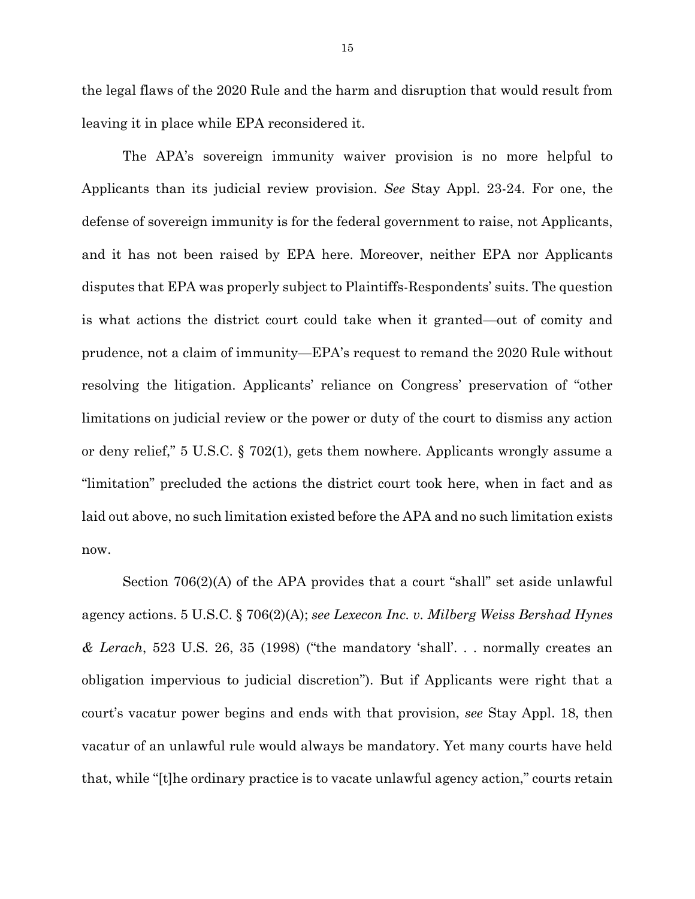the legal flaws of the 2020 Rule and the harm and disruption that would result from leaving it in place while EPA reconsidered it.

The APA's sovereign immunity waiver provision is no more helpful to Applicants than its judicial review provision. *See* Stay Appl. 23-24. For one, the defense of sovereign immunity is for the federal government to raise, not Applicants, and it has not been raised by EPA here. Moreover, neither EPA nor Applicants disputes that EPA was properly subject to Plaintiffs-Respondents' suits. The question is what actions the district court could take when it granted—out of comity and prudence, not a claim of immunity—EPA's request to remand the 2020 Rule without resolving the litigation. Applicants' reliance on Congress' preservation of "other limitations on judicial review or the power or duty of the court to dismiss any action or deny relief," 5 U.S.C. § 702(1), gets them nowhere. Applicants wrongly assume a "limitation" precluded the actions the district court took here, when in fact and as laid out above, no such limitation existed before the APA and no such limitation exists now.

Section 706(2)(A) of the APA provides that a court "shall" set aside unlawful agency actions. 5 U.S.C. § 706(2)(A); *see Lexecon Inc. v. Milberg Weiss Bershad Hynes & Lerach*, 523 U.S. 26, 35 (1998) ("the mandatory 'shall'. . . normally creates an obligation impervious to judicial discretion"). But if Applicants were right that a court's vacatur power begins and ends with that provision, *see* Stay Appl. 18, then vacatur of an unlawful rule would always be mandatory. Yet many courts have held that, while "[t]he ordinary practice is to vacate unlawful agency action," courts retain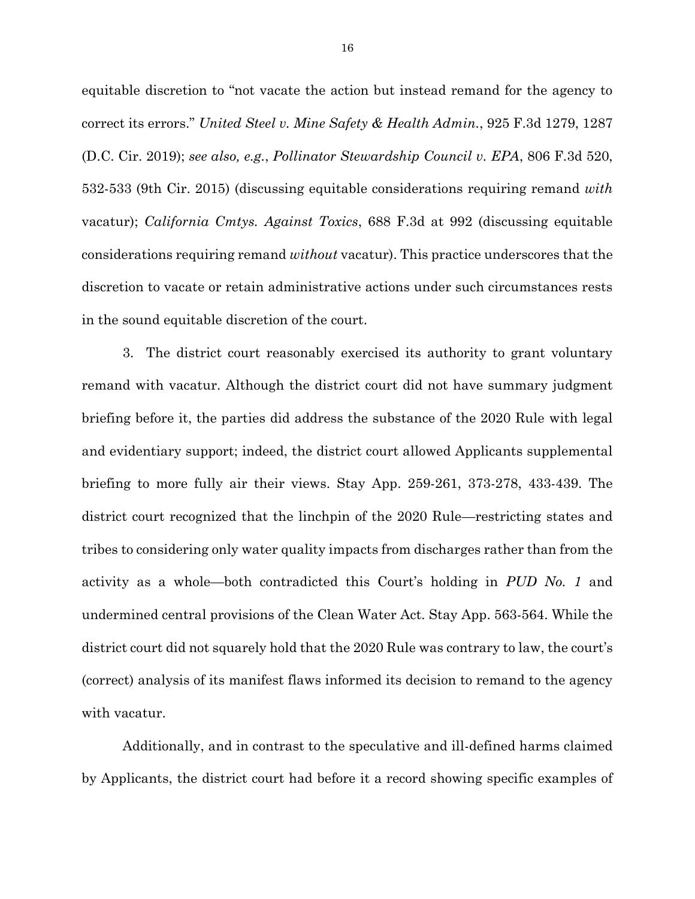equitable discretion to "not vacate the action but instead remand for the agency to correct its errors." *United Steel v. Mine Safety & Health Admin.*, 925 F.3d 1279, 1287 (D.C. Cir. 2019); *see also, e.g.*, *Pollinator Stewardship Council v. EPA*, 806 F.3d 520, 532-533 (9th Cir. 2015) (discussing equitable considerations requiring remand *with* vacatur); *California Cmtys. Against Toxics*, 688 F.3d at 992 (discussing equitable considerations requiring remand *without* vacatur). This practice underscores that the discretion to vacate or retain administrative actions under such circumstances rests in the sound equitable discretion of the court.

3. The district court reasonably exercised its authority to grant voluntary remand with vacatur. Although the district court did not have summary judgment briefing before it, the parties did address the substance of the 2020 Rule with legal and evidentiary support; indeed, the district court allowed Applicants supplemental briefing to more fully air their views. Stay App. 259-261, 373-278, 433-439. The district court recognized that the linchpin of the 2020 Rule—restricting states and tribes to considering only water quality impacts from discharges rather than from the activity as a whole—both contradicted this Court's holding in *PUD No. 1* and undermined central provisions of the Clean Water Act. Stay App. 563-564. While the district court did not squarely hold that the 2020 Rule was contrary to law, the court's (correct) analysis of its manifest flaws informed its decision to remand to the agency with vacatur.

Additionally, and in contrast to the speculative and ill-defined harms claimed by Applicants, the district court had before it a record showing specific examples of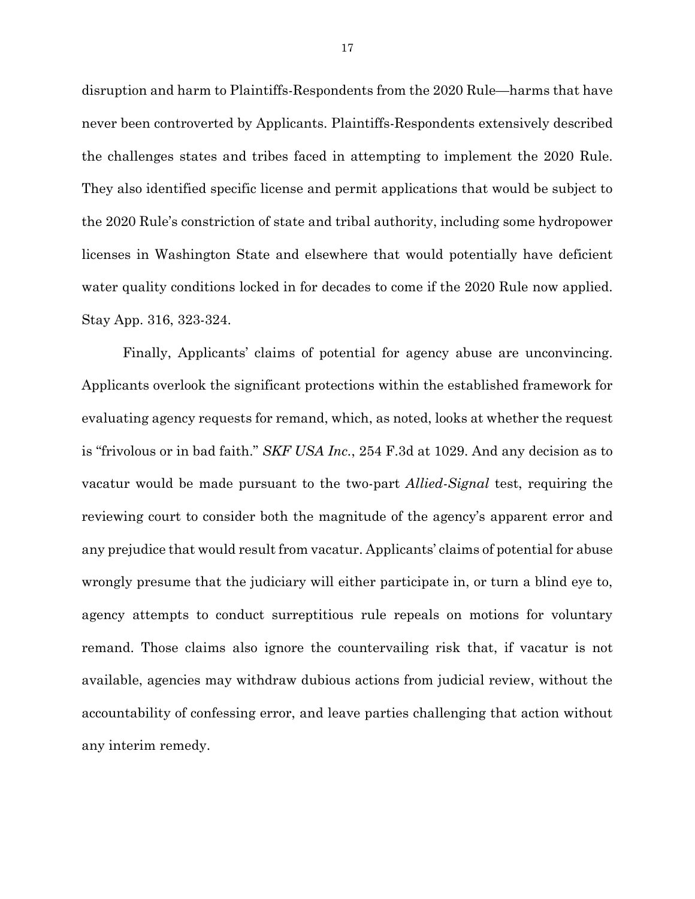disruption and harm to Plaintiffs-Respondents from the 2020 Rule—harms that have never been controverted by Applicants. Plaintiffs-Respondents extensively described the challenges states and tribes faced in attempting to implement the 2020 Rule. They also identified specific license and permit applications that would be subject to the 2020 Rule's constriction of state and tribal authority, including some hydropower licenses in Washington State and elsewhere that would potentially have deficient water quality conditions locked in for decades to come if the 2020 Rule now applied. Stay App. 316, 323-324.

Finally, Applicants' claims of potential for agency abuse are unconvincing. Applicants overlook the significant protections within the established framework for evaluating agency requests for remand, which, as noted, looks at whether the request is "frivolous or in bad faith." *SKF USA Inc.*, 254 F.3d at 1029. And any decision as to vacatur would be made pursuant to the two-part *Allied-Signal* test, requiring the reviewing court to consider both the magnitude of the agency's apparent error and any prejudice that would result from vacatur. Applicants' claims of potential for abuse wrongly presume that the judiciary will either participate in, or turn a blind eye to, agency attempts to conduct surreptitious rule repeals on motions for voluntary remand. Those claims also ignore the countervailing risk that, if vacatur is not available, agencies may withdraw dubious actions from judicial review, without the accountability of confessing error, and leave parties challenging that action without any interim remedy.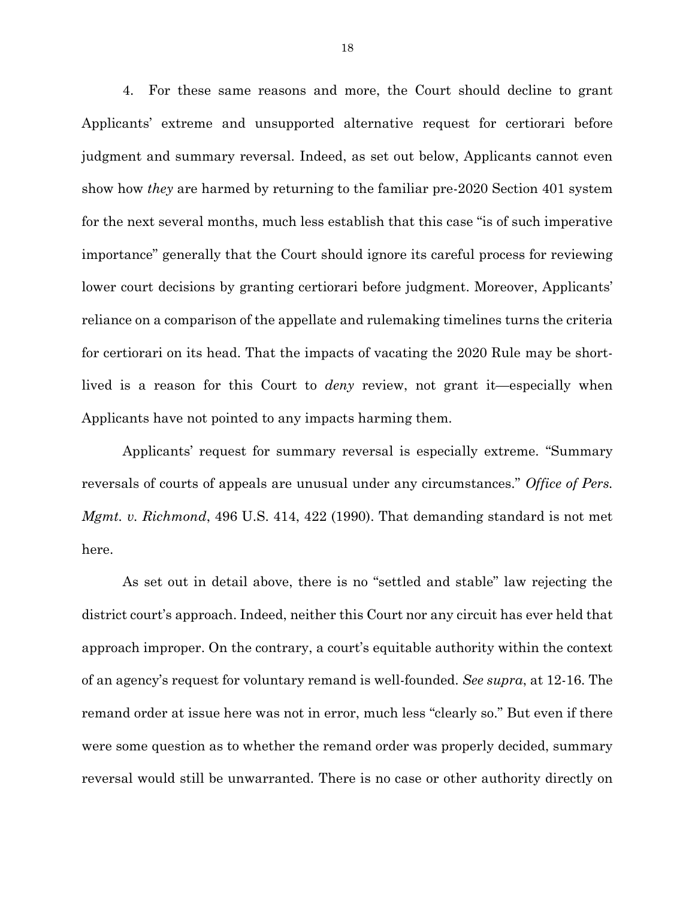4. For these same reasons and more, the Court should decline to grant Applicants' extreme and unsupported alternative request for certiorari before judgment and summary reversal. Indeed, as set out below, Applicants cannot even show how *they* are harmed by returning to the familiar pre-2020 Section 401 system for the next several months, much less establish that this case "is of such imperative importance" generally that the Court should ignore its careful process for reviewing lower court decisions by granting certiorari before judgment. Moreover, Applicants' reliance on a comparison of the appellate and rulemaking timelines turns the criteria for certiorari on its head. That the impacts of vacating the 2020 Rule may be shortlived is a reason for this Court to *deny* review, not grant it—especially when Applicants have not pointed to any impacts harming them.

Applicants' request for summary reversal is especially extreme. "Summary reversals of courts of appeals are unusual under any circumstances." *Office of Pers. Mgmt. v. Richmond*, 496 U.S. 414, 422 (1990). That demanding standard is not met here.

As set out in detail above, there is no "settled and stable" law rejecting the district court's approach. Indeed, neither this Court nor any circuit has ever held that approach improper. On the contrary, a court's equitable authority within the context of an agency's request for voluntary remand is well-founded. *See supra*, at 12-16. The remand order at issue here was not in error, much less "clearly so." But even if there were some question as to whether the remand order was properly decided, summary reversal would still be unwarranted. There is no case or other authority directly on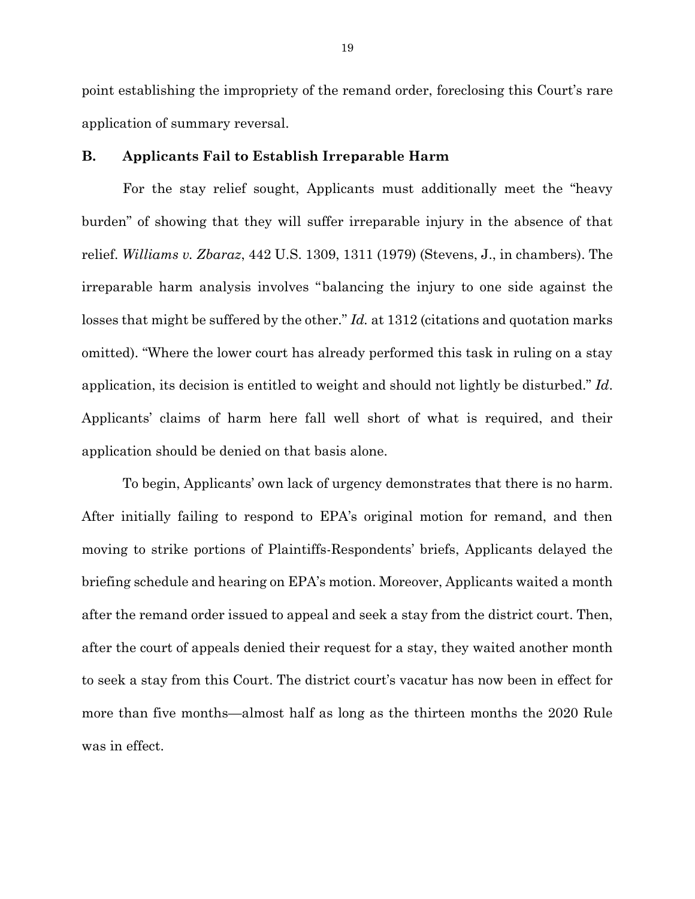point establishing the impropriety of the remand order, foreclosing this Court's rare application of summary reversal.

### **B. Applicants Fail to Establish Irreparable Harm**

For the stay relief sought, Applicants must additionally meet the "heavy burden" of showing that they will suffer irreparable injury in the absence of that relief. *Williams v. Zbaraz*, 442 U.S. 1309, 1311 (1979) (Stevens, J., in chambers). The irreparable harm analysis involves "balancing the injury to one side against the losses that might be suffered by the other." *Id.* at 1312 (citations and quotation marks omitted). "Where the lower court has already performed this task in ruling on a stay application, its decision is entitled to weight and should not lightly be disturbed." *Id*. Applicants' claims of harm here fall well short of what is required, and their application should be denied on that basis alone.

To begin, Applicants' own lack of urgency demonstrates that there is no harm. After initially failing to respond to EPA's original motion for remand, and then moving to strike portions of Plaintiffs-Respondents' briefs, Applicants delayed the briefing schedule and hearing on EPA's motion. Moreover, Applicants waited a month after the remand order issued to appeal and seek a stay from the district court. Then, after the court of appeals denied their request for a stay, they waited another month to seek a stay from this Court. The district court's vacatur has now been in effect for more than five months—almost half as long as the thirteen months the 2020 Rule was in effect.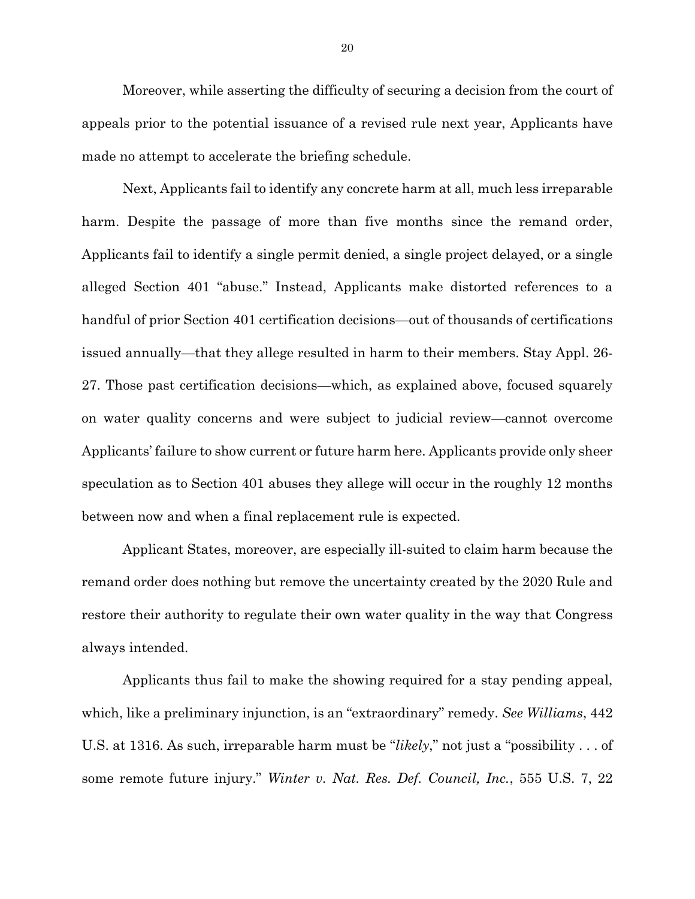Moreover, while asserting the difficulty of securing a decision from the court of appeals prior to the potential issuance of a revised rule next year, Applicants have made no attempt to accelerate the briefing schedule.

Next, Applicants fail to identify any concrete harm at all, much less irreparable harm. Despite the passage of more than five months since the remand order, Applicants fail to identify a single permit denied, a single project delayed, or a single alleged Section 401 "abuse." Instead, Applicants make distorted references to a handful of prior Section 401 certification decisions—out of thousands of certifications issued annually—that they allege resulted in harm to their members. Stay Appl. 26- 27. Those past certification decisions—which, as explained above, focused squarely on water quality concerns and were subject to judicial review—cannot overcome Applicants' failure to show current or future harm here. Applicants provide only sheer speculation as to Section 401 abuses they allege will occur in the roughly 12 months between now and when a final replacement rule is expected.

Applicant States, moreover, are especially ill-suited to claim harm because the remand order does nothing but remove the uncertainty created by the 2020 Rule and restore their authority to regulate their own water quality in the way that Congress always intended.

Applicants thus fail to make the showing required for a stay pending appeal, which, like a preliminary injunction, is an "extraordinary" remedy. *See Williams*, 442 U.S. at 1316. As such, irreparable harm must be "*likely*," not just a "possibility . . . of some remote future injury." *Winter v. Nat. Res. Def. Council, Inc.*, 555 U.S. 7, 22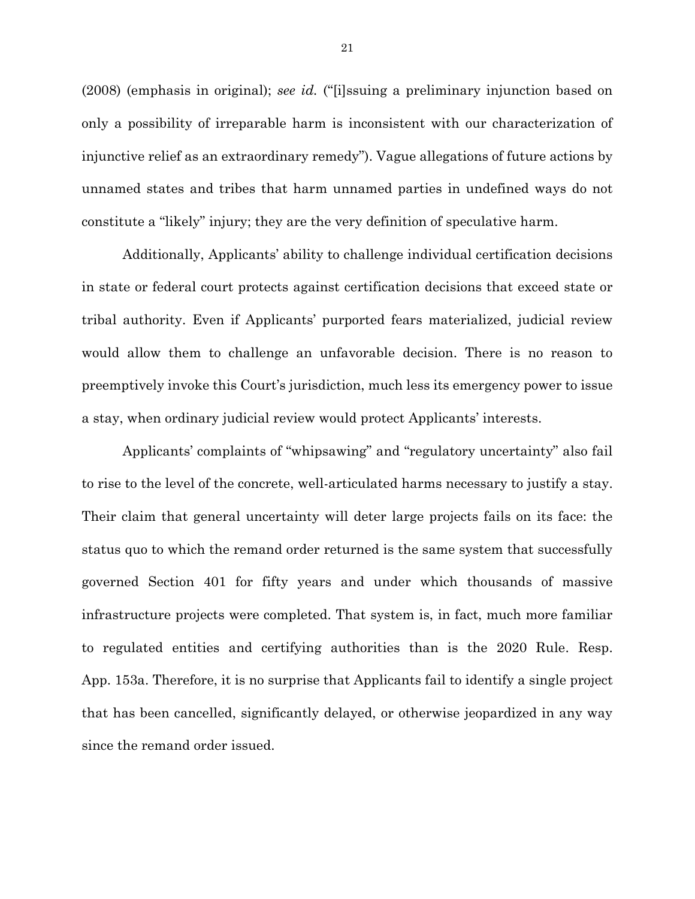(2008) (emphasis in original); *see id.* ("[i]ssuing a preliminary injunction based on only a possibility of irreparable harm is inconsistent with our characterization of injunctive relief as an extraordinary remedy"). Vague allegations of future actions by unnamed states and tribes that harm unnamed parties in undefined ways do not constitute a "likely" injury; they are the very definition of speculative harm.

Additionally, Applicants' ability to challenge individual certification decisions in state or federal court protects against certification decisions that exceed state or tribal authority. Even if Applicants' purported fears materialized, judicial review would allow them to challenge an unfavorable decision. There is no reason to preemptively invoke this Court's jurisdiction, much less its emergency power to issue a stay, when ordinary judicial review would protect Applicants' interests.

Applicants' complaints of "whipsawing" and "regulatory uncertainty" also fail to rise to the level of the concrete, well-articulated harms necessary to justify a stay. Their claim that general uncertainty will deter large projects fails on its face: the status quo to which the remand order returned is the same system that successfully governed Section 401 for fifty years and under which thousands of massive infrastructure projects were completed. That system is, in fact, much more familiar to regulated entities and certifying authorities than is the 2020 Rule. Resp. App. 153a. Therefore, it is no surprise that Applicants fail to identify a single project that has been cancelled, significantly delayed, or otherwise jeopardized in any way since the remand order issued.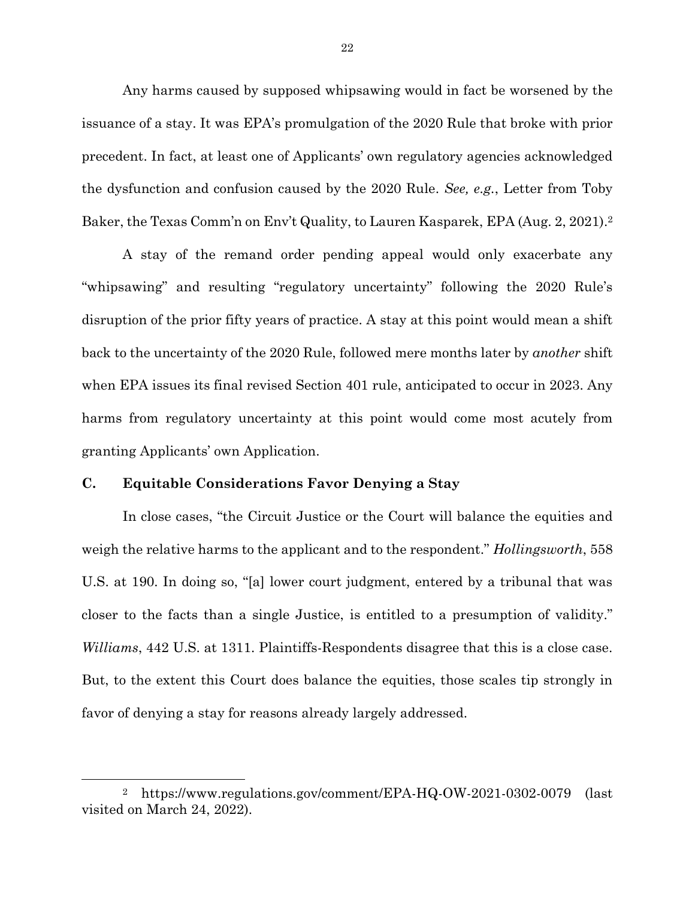Any harms caused by supposed whipsawing would in fact be worsened by the issuance of a stay. It was EPA's promulgation of the 2020 Rule that broke with prior precedent. In fact, at least one of Applicants' own regulatory agencies acknowledged the dysfunction and confusion caused by the 2020 Rule. *See, e.g.*, Letter from Toby Baker, the Texas Comm'n on Env't Quality, to Lauren Kasparek, EPA (Aug. 2, 2021). 2

A stay of the remand order pending appeal would only exacerbate any "whipsawing" and resulting "regulatory uncertainty" following the 2020 Rule's disruption of the prior fifty years of practice. A stay at this point would mean a shift back to the uncertainty of the 2020 Rule, followed mere months later by *another* shift when EPA issues its final revised Section 401 rule, anticipated to occur in 2023. Any harms from regulatory uncertainty at this point would come most acutely from granting Applicants' own Application.

### **C. Equitable Considerations Favor Denying a Stay**

l

In close cases, "the Circuit Justice or the Court will balance the equities and weigh the relative harms to the applicant and to the respondent." *Hollingsworth*, 558 U.S. at 190. In doing so, "[a] lower court judgment, entered by a tribunal that was closer to the facts than a single Justice, is entitled to a presumption of validity." *Williams*, 442 U.S. at 1311. Plaintiffs-Respondents disagree that this is a close case. But, to the extent this Court does balance the equities, those scales tip strongly in favor of denying a stay for reasons already largely addressed.

<sup>2</sup> https://www.regulations.gov/comment/EPA-HQ-OW-2021-0302-0079 (last visited on March 24, 2022).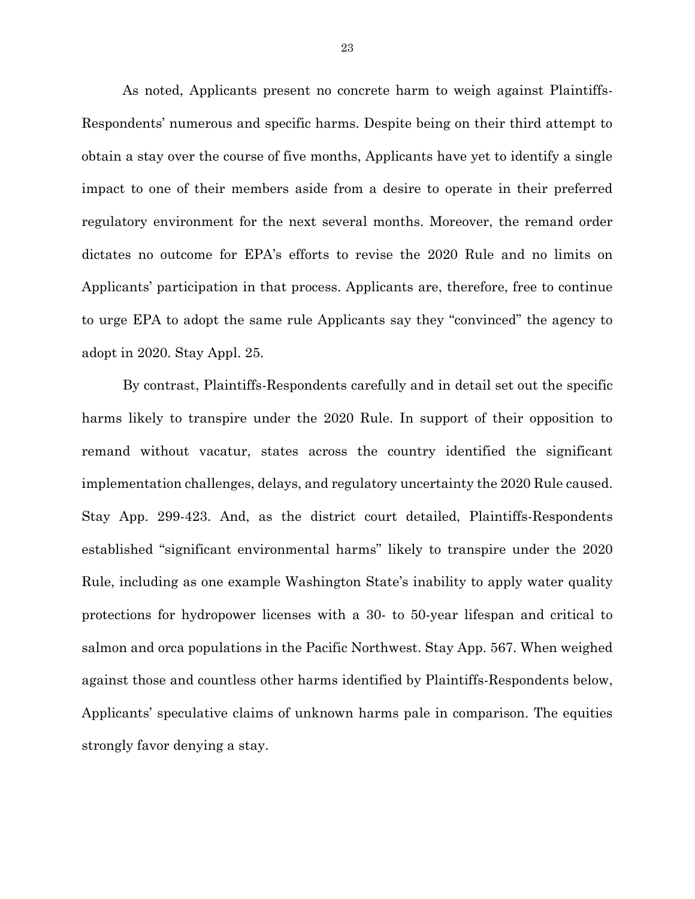As noted, Applicants present no concrete harm to weigh against Plaintiffs-Respondents' numerous and specific harms. Despite being on their third attempt to obtain a stay over the course of five months, Applicants have yet to identify a single impact to one of their members aside from a desire to operate in their preferred regulatory environment for the next several months. Moreover, the remand order dictates no outcome for EPA's efforts to revise the 2020 Rule and no limits on Applicants' participation in that process. Applicants are, therefore, free to continue to urge EPA to adopt the same rule Applicants say they "convinced" the agency to adopt in 2020. Stay Appl. 25.

By contrast, Plaintiffs-Respondents carefully and in detail set out the specific harms likely to transpire under the 2020 Rule. In support of their opposition to remand without vacatur, states across the country identified the significant implementation challenges, delays, and regulatory uncertainty the 2020 Rule caused. Stay App. 299-423. And, as the district court detailed, Plaintiffs-Respondents established "significant environmental harms" likely to transpire under the 2020 Rule, including as one example Washington State's inability to apply water quality protections for hydropower licenses with a 30- to 50-year lifespan and critical to salmon and orca populations in the Pacific Northwest. Stay App. 567. When weighed against those and countless other harms identified by Plaintiffs-Respondents below, Applicants' speculative claims of unknown harms pale in comparison. The equities strongly favor denying a stay.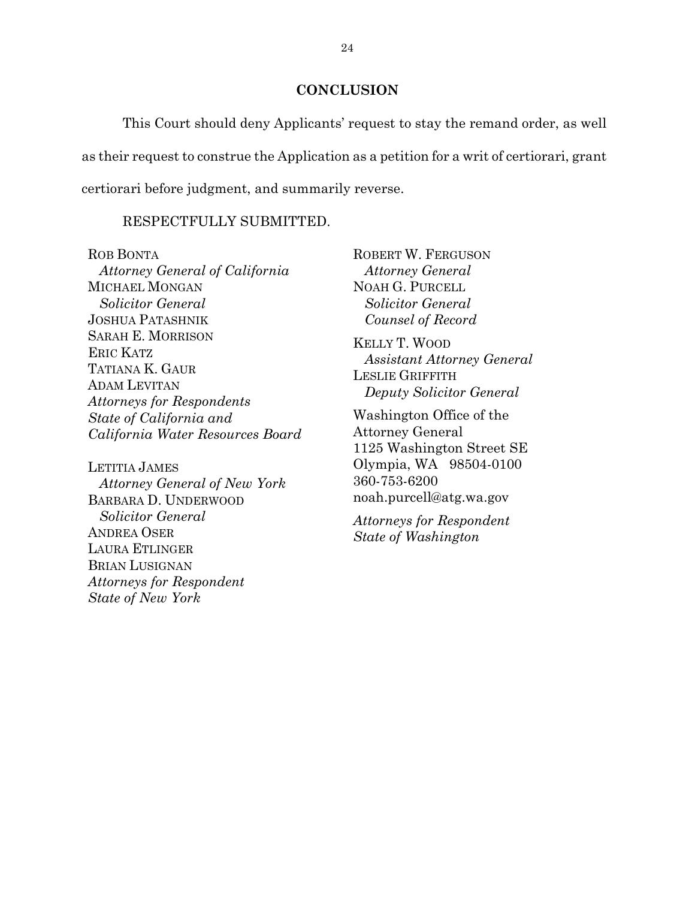### **CONCLUSION**

This Court should deny Applicants' request to stay the remand order, as well as their request to construe the Application as a petition for a writ of certiorari, grant certiorari before judgment, and summarily reverse.

# RESPECTFULLY SUBMITTED.

ROB BONTA *Attorney General of California* MICHAEL MONGAN *Solicitor General* JOSHUA PATASHNIK SARAH E. MORRISON ERIC KATZ TATIANA K. GAUR ADAM LEVITAN *Attorneys for Respondents State of California and California Water Resources Board*

LETITIA JAMES *Attorney General of New York*  BARBARA D. UNDERWOOD *Solicitor General* ANDREA OSER LAURA ETLINGER BRIAN LUSIGNAN *Attorneys for Respondent State of New York*

ROBERT W. FERGUSON  *Attorney General* NOAH G. PURCELL  *Solicitor General Counsel of Record* KELLY T. WOOD  *Assistant Attorney General* LESLIE GRIFFITH  *Deputy Solicitor General* Washington Office of the Attorney General

1125 Washington Street SE Olympia, WA 98504-0100 360-753-6200 noah.purcell@atg.wa.gov

*Attorneys for Respondent State of Washington*